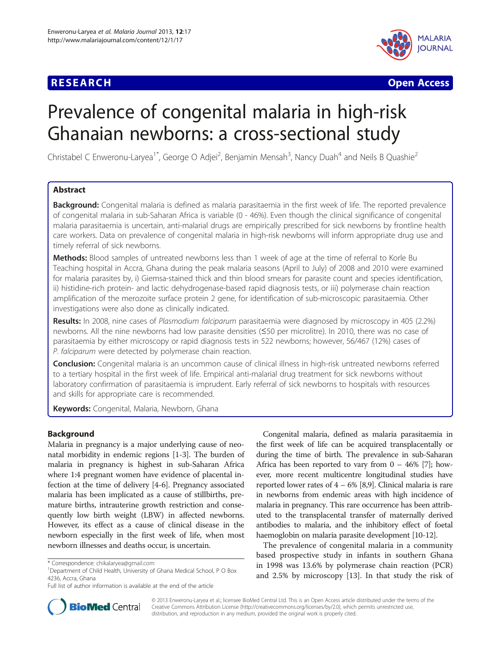# **RESEARCH CHE Open Access**



# Prevalence of congenital malaria in high-risk Ghanaian newborns: a cross-sectional study

Christabel C Enweronu-Laryea<sup>1\*</sup>, George O Adjei<sup>2</sup>, Benjamin Mensah<sup>3</sup>, Nancy Duah<sup>4</sup> and Neils B Quashie<sup>2</sup>

# Abstract

Background: Congenital malaria is defined as malaria parasitaemia in the first week of life. The reported prevalence of congenital malaria in sub-Saharan Africa is variable (0 - 46%). Even though the clinical significance of congenital malaria parasitaemia is uncertain, anti-malarial drugs are empirically prescribed for sick newborns by frontline health care workers. Data on prevalence of congenital malaria in high-risk newborns will inform appropriate drug use and timely referral of sick newborns.

**Methods:** Blood samples of untreated newborns less than 1 week of age at the time of referral to Korle Bu Teaching hospital in Accra, Ghana during the peak malaria seasons (April to July) of 2008 and 2010 were examined for malaria parasites by, i) Giemsa-stained thick and thin blood smears for parasite count and species identification, ii) histidine-rich protein- and lactic dehydrogenase-based rapid diagnosis tests, or iii) polymerase chain reaction amplification of the merozoite surface protein 2 gene, for identification of sub-microscopic parasitaemia. Other investigations were also done as clinically indicated.

Results: In 2008, nine cases of Plasmodium falciparum parasitaemia were diagnosed by microscopy in 405 (2.2%) newborns. All the nine newborns had low parasite densities (≤50 per microlitre). In 2010, there was no case of parasitaemia by either microscopy or rapid diagnosis tests in 522 newborns; however, 56/467 (12%) cases of P. falciparum were detected by polymerase chain reaction.

Conclusion: Congenital malaria is an uncommon cause of clinical illness in high-risk untreated newborns referred to a tertiary hospital in the first week of life. Empirical anti-malarial drug treatment for sick newborns without laboratory confirmation of parasitaemia is imprudent. Early referral of sick newborns to hospitals with resources and skills for appropriate care is recommended.

Keywords: Congenital, Malaria, Newborn, Ghana

# Background

Malaria in pregnancy is a major underlying cause of neonatal morbidity in endemic regions [\[1](#page-4-0)-[3](#page-4-0)]. The burden of malaria in pregnancy is highest in sub-Saharan Africa where 1:4 pregnant women have evidence of placental infection at the time of delivery [[4-6\]](#page-4-0). Pregnancy associated malaria has been implicated as a cause of stillbirths, premature births, intrauterine growth restriction and consequently low birth weight (LBW) in affected newborns. However, its effect as a cause of clinical disease in the newborn especially in the first week of life, when most newborn illnesses and deaths occur, is uncertain.

Congenital malaria, defined as malaria parasitaemia in the first week of life can be acquired transplacentally or during the time of birth. The prevalence in sub-Saharan Africa has been reported to vary from  $0 - 46\%$  [[7](#page-4-0)]; however, more recent multicentre longitudinal studies have reported lower rates of  $4 - 6\%$  [[8,9\]](#page-4-0). Clinical malaria is rare in newborns from endemic areas with high incidence of malaria in pregnancy. This rare occurrence has been attributed to the transplacental transfer of maternally derived antibodies to malaria, and the inhibitory effect of foetal haemoglobin on malaria parasite development [\[10-12\]](#page-4-0).

The prevalence of congenital malaria in a community based prospective study in infants in southern Ghana in 1998 was 13.6% by polymerase chain reaction (PCR) and 2.5% by microscopy [\[13](#page-4-0)]. In that study the risk of



© 2013 Enweronu-Laryea et al.; licensee BioMed Central Ltd. This is an Open Access article distributed under the terms of the Creative Commons Attribution License (<http://creativecommons.org/licenses/by/2.0>), which permits unrestricted use, distribution, and reproduction in any medium, provided the original work is properly cited.

<sup>\*</sup> Correspondence: [chikalaryea@gmail.com](mailto:chikalaryea@gmail.com) <sup>1</sup>

<sup>&</sup>lt;sup>1</sup>Department of Child Health, University of Ghana Medical School, P O Box 4236, Accra, Ghana

Full list of author information is available at the end of the article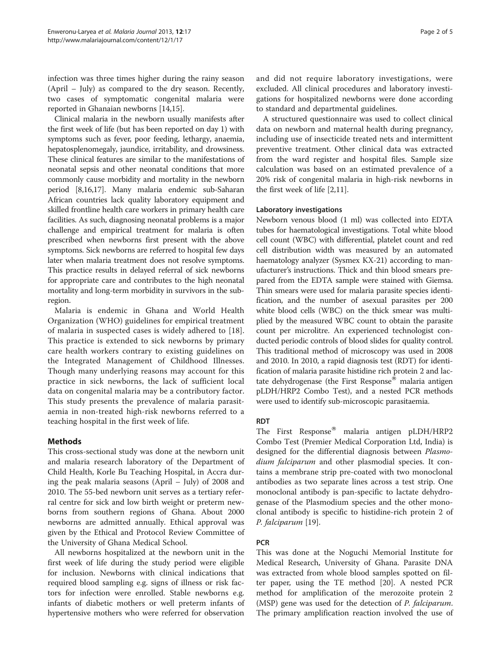infection was three times higher during the rainy season (April – July) as compared to the dry season. Recently, two cases of symptomatic congenital malaria were reported in Ghanaian newborns [\[14,15](#page-4-0)].

Clinical malaria in the newborn usually manifests after the first week of life (but has been reported on day 1) with symptoms such as fever, poor feeding, lethargy, anaemia, hepatosplenomegaly, jaundice, irritability, and drowsiness. These clinical features are similar to the manifestations of neonatal sepsis and other neonatal conditions that more commonly cause morbidity and mortality in the newborn period [[8,16,17\]](#page-4-0). Many malaria endemic sub-Saharan African countries lack quality laboratory equipment and skilled frontline health care workers in primary health care facilities. As such, diagnosing neonatal problems is a major challenge and empirical treatment for malaria is often prescribed when newborns first present with the above symptoms. Sick newborns are referred to hospital few days later when malaria treatment does not resolve symptoms. This practice results in delayed referral of sick newborns for appropriate care and contributes to the high neonatal mortality and long-term morbidity in survivors in the subregion.

Malaria is endemic in Ghana and World Health Organization (WHO) guidelines for empirical treatment of malaria in suspected cases is widely adhered to [\[18](#page-4-0)]. This practice is extended to sick newborns by primary care health workers contrary to existing guidelines on the Integrated Management of Childhood Illnesses. Though many underlying reasons may account for this practice in sick newborns, the lack of sufficient local data on congenital malaria may be a contributory factor. This study presents the prevalence of malaria parasitaemia in non-treated high-risk newborns referred to a teaching hospital in the first week of life.

# Methods

This cross-sectional study was done at the newborn unit and malaria research laboratory of the Department of Child Health, Korle Bu Teaching Hospital, in Accra during the peak malaria seasons (April – July) of 2008 and 2010. The 55-bed newborn unit serves as a tertiary referral centre for sick and low birth weight or preterm newborns from southern regions of Ghana. About 2000 newborns are admitted annually. Ethical approval was given by the Ethical and Protocol Review Committee of the University of Ghana Medical School.

All newborns hospitalized at the newborn unit in the first week of life during the study period were eligible for inclusion. Newborns with clinical indications that required blood sampling e.g. signs of illness or risk factors for infection were enrolled. Stable newborns e.g. infants of diabetic mothers or well preterm infants of hypertensive mothers who were referred for observation

and did not require laboratory investigations, were excluded. All clinical procedures and laboratory investigations for hospitalized newborns were done according to standard and departmental guidelines.

A structured questionnaire was used to collect clinical data on newborn and maternal health during pregnancy, including use of insecticide treated nets and intermittent preventive treatment. Other clinical data was extracted from the ward register and hospital files. Sample size calculation was based on an estimated prevalence of a 20% risk of congenital malaria in high-risk newborns in the first week of life [\[2](#page-4-0),[11](#page-4-0)].

# Laboratory investigations

Newborn venous blood (1 ml) was collected into EDTA tubes for haematological investigations. Total white blood cell count (WBC) with differential, platelet count and red cell distribution width was measured by an automated haematology analyzer (Sysmex KX-21) according to manufacturer's instructions. Thick and thin blood smears prepared from the EDTA sample were stained with Giemsa. Thin smears were used for malaria parasite species identification, and the number of asexual parasites per 200 white blood cells (WBC) on the thick smear was multiplied by the measured WBC count to obtain the parasite count per microlitre. An experienced technologist conducted periodic controls of blood slides for quality control. This traditional method of microscopy was used in 2008 and 2010. In 2010, a rapid diagnosis test (RDT) for identification of malaria parasite histidine rich protein 2 and lactate dehydrogenase (the First Response $^{\circledR}$  malaria antigen pLDH/HRP2 Combo Test), and a nested PCR methods were used to identify sub-microscopic parasitaemia.

# **RDT**

The First Response $^{\circledR}$  malaria antigen pLDH/HRP2 Combo Test (Premier Medical Corporation Ltd, India) is designed for the differential diagnosis between Plasmodium falciparum and other plasmodial species. It contains a membrane strip pre-coated with two monoclonal antibodies as two separate lines across a test strip. One monoclonal antibody is pan-specific to lactate dehydrogenase of the Plasmodium species and the other monoclonal antibody is specific to histidine-rich protein 2 of P. falciparum [\[19\]](#page-4-0).

# **PCR**

This was done at the Noguchi Memorial Institute for Medical Research, University of Ghana. Parasite DNA was extracted from whole blood samples spotted on filter paper, using the TE method [[20\]](#page-4-0). A nested PCR method for amplification of the merozoite protein 2 (MSP) gene was used for the detection of P. falciparum. The primary amplification reaction involved the use of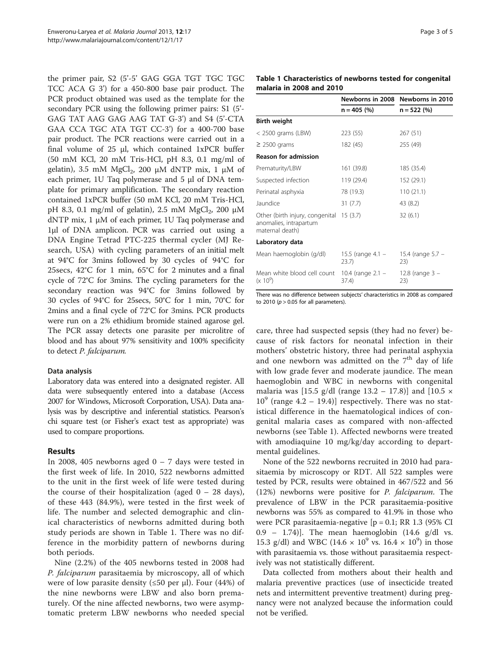the primer pair, S2 (5'-5' GAG GGA TGT TGC TGC TCC ACA G 3') for a 450-800 base pair product. The PCR product obtained was used as the template for the secondary PCR using the following primer pairs: S1 (5'- GAG TAT AAG GAG AAG TAT G-3') and S4 (5'-CTA GAA CCA TGC ATA TGT CC-3') for a 400-700 base pair product. The PCR reactions were carried out in a final volume of 25 μl, which contained 1xPCR buffer (50 mM KCl, 20 mM Tris-HCl, pH 8.3, 0.1 mg/ml of gelatin), 3.5 mM  $MgCl<sub>2</sub>$ , 200 μM dNTP mix, 1 μM of each primer, 1U Taq polymerase and 5 μl of DNA template for primary amplification. The secondary reaction contained 1xPCR buffer (50 mM KCl, 20 mM Tris-HCl, pH 8.3, 0.1 mg/ml of gelatin), 2.5 mM MgCl<sub>2</sub>, 200 μM dNTP mix, 1 μM of each primer, 1U Taq polymerase and 1μl of DNA amplicon. PCR was carried out using a DNA Engine Tetrad PTC-225 thermal cycler (MJ Research, USA) with cycling parameters of an initial melt at 94°C for 3mins followed by 30 cycles of 94°C for 25secs, 42°C for 1 min, 65°C for 2 minutes and a final cycle of 72°C for 3mins. The cycling parameters for the secondary reaction was 94°C for 3mins followed by 30 cycles of 94°C for 25secs, 50°C for 1 min, 70°C for 2mins and a final cycle of 72°C for 3mins. PCR products were run on a 2% ethidium bromide stained agarose gel. The PCR assay detects one parasite per microlitre of blood and has about 97% sensitivity and 100% specificity to detect P. falciparum.

# Data analysis

Laboratory data was entered into a designated register. All data were subsequently entered into a database (Access 2007 for Windows, Microsoft Corporation, USA). Data analysis was by descriptive and inferential statistics. Pearson's chi square test (or Fisher's exact test as appropriate) was used to compare proportions.

# Results

In 2008, 405 newborns aged  $0 - 7$  days were tested in the first week of life. In 2010, 522 newborns admitted to the unit in the first week of life were tested during the course of their hospitalization (aged  $0 - 28$  days), of these 443 (84.9%), were tested in the first week of life. The number and selected demographic and clinical characteristics of newborns admitted during both study periods are shown in Table 1. There was no difference in the morbidity pattern of newborns during both periods.

Nine (2.2%) of the 405 newborns tested in 2008 had P. falciparum parasitaemia by microscopy, all of which were of low parasite density ( $\leq 50$  per  $\mu$ l). Four (44%) of the nine newborns were LBW and also born prematurely. Of the nine affected newborns, two were asymptomatic preterm LBW newborns who needed special

| Page 3 of |  |  |  |
|-----------|--|--|--|
|-----------|--|--|--|

| Table 1 Characteristics of newborns tested for congenital |
|-----------------------------------------------------------|
| malaria in 2008 and 2010                                  |

|                                                                              | Newborns in 2008 Newborns in 2010 |                            |  |
|------------------------------------------------------------------------------|-----------------------------------|----------------------------|--|
|                                                                              | $n = 405$ (%)                     | $n = 522 (%)$              |  |
| <b>Birth weight</b>                                                          |                                   |                            |  |
| $<$ 2500 grams (LBW)                                                         | 223 (55)                          | 267 (51)                   |  |
| $\geq$ 2500 grams                                                            | 182 (45)                          | 255 (49)                   |  |
| <b>Reason for admission</b>                                                  |                                   |                            |  |
| Prematurity/LBW                                                              | 161 (39.8)                        | 185 (35.4)                 |  |
| Suspected infection                                                          | 119 (29.4)                        | 152 (29.1)                 |  |
| Perinatal asphyxia                                                           | 78 (19.3)                         | 110(21.1)                  |  |
| Jaundice                                                                     | 31(7.7)                           | 43 (8.2)                   |  |
| Other (birth injury, congenital<br>anomalies, intrapartum<br>maternal death) | 15(3.7)                           | 32(6.1)                    |  |
| Laboratory data                                                              |                                   |                            |  |
| Mean haemoglobin (g/dl)                                                      | 15.5 (range $4.1 -$<br>23.7       | 15.4 (range $5.7 -$<br>23) |  |
| Mean white blood cell count<br>$(x 10^9)$                                    | 10.4 (range $2.1 -$<br>37.4)      | 12.8 (range $3 -$<br>23)   |  |

There was no difference between subjects' characteristics in 2008 as compared to 2010 ( $p > 0.05$  for all parameters).

care, three had suspected sepsis (they had no fever) because of risk factors for neonatal infection in their mothers' obstetric history, three had perinatal asphyxia and one newborn was admitted on the  $7<sup>th</sup>$  day of life with low grade fever and moderate jaundice. The mean haemoglobin and WBC in newborns with congenital malaria was [15.5 g/dl (range  $13.2 - 17.8$ )] and [10.5  $\times$  $10<sup>9</sup>$  (range 4.2 – 19.4)] respectively. There was no statistical difference in the haematological indices of congenital malaria cases as compared with non-affected newborns (see Table 1). Affected newborns were treated with amodiaquine 10 mg/kg/day according to departmental guidelines.

None of the 522 newborns recruited in 2010 had parasitaemia by microscopy or RDT. All 522 samples were tested by PCR, results were obtained in 467/522 and 56 (12%) newborns were positive for P. falciparum. The prevalence of LBW in the PCR parasitaemia-positive newborns was 55% as compared to 41.9% in those who were PCR parasitaemia-negative  $[p = 0.1; RR 1.3 (95% CI)$  $0.9 - 1.74$ ]. The mean haemoglobin  $(14.6 \text{ g}/\text{d}1 \text{ vs.})$ 15.3 g/dl) and WBC (14.6  $\times$  10<sup>9</sup> vs. 16.4  $\times$  10<sup>9</sup>) in those with parasitaemia vs. those without parasitaemia respectively was not statistically different.

Data collected from mothers about their health and malaria preventive practices (use of insecticide treated nets and intermittent preventive treatment) during pregnancy were not analyzed because the information could not be verified.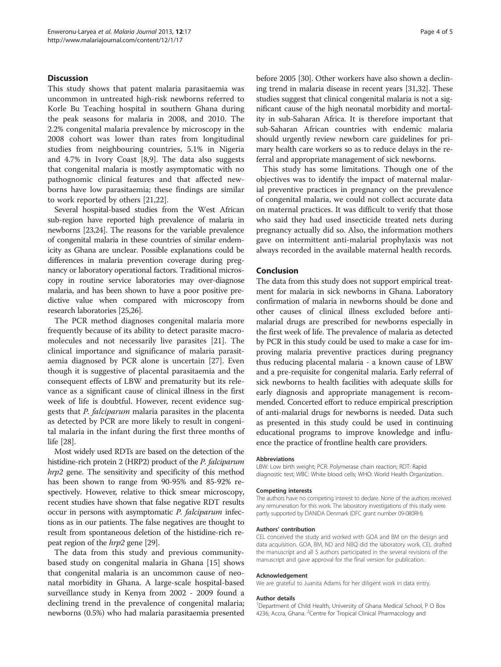#### **Discussion**

This study shows that patent malaria parasitaemia was uncommon in untreated high-risk newborns referred to Korle Bu Teaching hospital in southern Ghana during the peak seasons for malaria in 2008, and 2010. The 2.2% congenital malaria prevalence by microscopy in the 2008 cohort was lower than rates from longitudinal studies from neighbouring countries, 5.1% in Nigeria and 4.7% in Ivory Coast [[8](#page-4-0),[9\]](#page-4-0). The data also suggests that congenital malaria is mostly asymptomatic with no pathognomic clinical features and that affected newborns have low parasitaemia; these findings are similar to work reported by others [\[21,22](#page-4-0)].

Several hospital-based studies from the West African sub-region have reported high prevalence of malaria in newborns [[23,24\]](#page-4-0). The reasons for the variable prevalence of congenital malaria in these countries of similar endemicity as Ghana are unclear. Possible explanations could be differences in malaria prevention coverage during pregnancy or laboratory operational factors. Traditional microscopy in routine service laboratories may over-diagnose malaria, and has been shown to have a poor positive predictive value when compared with microscopy from research laboratories [\[25,26\]](#page-4-0).

The PCR method diagnoses congenital malaria more frequently because of its ability to detect parasite macromolecules and not necessarily live parasites [\[21\]](#page-4-0). The clinical importance and significance of malaria parasitaemia diagnosed by PCR alone is uncertain [\[27](#page-4-0)]. Even though it is suggestive of placental parasitaemia and the consequent effects of LBW and prematurity but its relevance as a significant cause of clinical illness in the first week of life is doubtful. However, recent evidence suggests that P. falciparum malaria parasites in the placenta as detected by PCR are more likely to result in congenital malaria in the infant during the first three months of life [\[28\]](#page-4-0).

Most widely used RDTs are based on the detection of the histidine-rich protein 2 (HRP2) product of the P. falciparum hrp2 gene. The sensitivity and specificity of this method has been shown to range from 90-95% and 85-92% respectively. However, relative to thick smear microscopy, recent studies have shown that false negative RDT results occur in persons with asymptomatic P. falciparum infections as in our patients. The false negatives are thought to result from spontaneous deletion of the histidine-rich repeat region of the hrp2 gene [\[29\]](#page-4-0).

The data from this study and previous communitybased study on congenital malaria in Ghana [[15\]](#page-4-0) shows that congenital malaria is an uncommon cause of neonatal morbidity in Ghana. A large-scale hospital-based surveillance study in Kenya from 2002 - 2009 found a declining trend in the prevalence of congenital malaria; newborns (0.5%) who had malaria parasitaemia presented before 2005 [[30](#page-4-0)]. Other workers have also shown a declining trend in malaria disease in recent years [\[31,32](#page-4-0)]. These studies suggest that clinical congenital malaria is not a significant cause of the high neonatal morbidity and mortality in sub-Saharan Africa. It is therefore important that sub-Saharan African countries with endemic malaria should urgently review newborn care guidelines for primary health care workers so as to reduce delays in the referral and appropriate management of sick newborns.

This study has some limitations. Though one of the objectives was to identify the impact of maternal malarial preventive practices in pregnancy on the prevalence of congenital malaria, we could not collect accurate data on maternal practices. It was difficult to verify that those who said they had used insecticide treated nets during pregnancy actually did so. Also, the information mothers gave on intermittent anti-malarial prophylaxis was not always recorded in the available maternal health records.

#### Conclusion

The data from this study does not support empirical treatment for malaria in sick newborns in Ghana. Laboratory confirmation of malaria in newborns should be done and other causes of clinical illness excluded before antimalarial drugs are prescribed for newborns especially in the first week of life. The prevalence of malaria as detected by PCR in this study could be used to make a case for improving malaria preventive practices during pregnancy thus reducing placental malaria - a known cause of LBW and a pre-requisite for congenital malaria. Early referral of sick newborns to health facilities with adequate skills for early diagnosis and appropriate management is recommended. Concerted effort to reduce empirical prescription of anti-malarial drugs for newborns is needed. Data such as presented in this study could be used in continuing educational programs to improve knowledge and influence the practice of frontline health care providers.

#### Abbreviations

LBW: Low birth weight; PCR: Polymerase chain reaction; RDT: Rapid diagnostic test; WBC: White blood cells; WHO: World Health Organization.

#### Competing interests

The authors have no competing interest to declare. None of the authors received any remuneration for this work. The laboratory investigations of this study were partly supported by DANIDA Denmark (DFC grant number 09-080RH).

#### Authors' contribution

CEL conceived the study and worked with GOA and BM on the design and data acquisition. GOA, BM, ND and NBQ did the laboratory work. CEL drafted the manuscript and all 5 authors participated in the several revisions of the manuscript and gave approval for the final version for publication.

#### Acknowledgement

We are grateful to Juanita Adams for her diligent work in data entry.

#### Author details

<sup>1</sup>Department of Child Health, University of Ghana Medical School, P O Box 4236, Accra, Ghana. <sup>2</sup>Centre for Tropical Clinical Pharmacology and